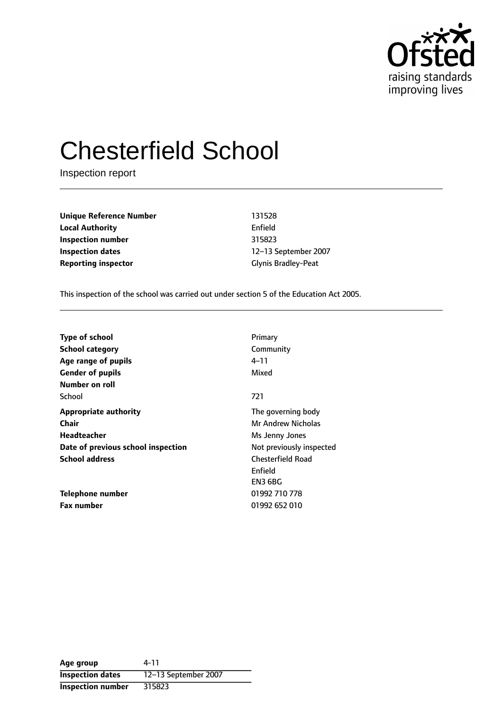

# Chesterfield School

Inspection report

**Unique Reference Number** 131528 **Local Authority** Enfield **Inspection number** 315823 **Inspection dates** 12-13 September 2007 **Reporting inspector** Glynis Bradley-Peat

This inspection of the school was carried out under section 5 of the Education Act 2005.

| <b>Type of school</b>              | Primary                                        |
|------------------------------------|------------------------------------------------|
| <b>School category</b>             | Community                                      |
| Age range of pupils                | 4–11                                           |
| <b>Gender of pupils</b>            | Mixed                                          |
| Number on roll<br>School           | 721                                            |
| <b>Appropriate authority</b>       | The governing body                             |
| Chair                              | <b>Mr Andrew Nicholas</b>                      |
| Headteacher                        | Ms Jenny Jones                                 |
| Date of previous school inspection | Not previously inspected                       |
| <b>School address</b>              | <b>Chesterfield Road</b><br>Enfield<br>EN3 6BG |
| Telephone number                   | 01992 710 778                                  |
| <b>Fax number</b>                  | 01992 652 010                                  |

**Age group** 4-11 **Inspection dates** 12-13 September 2007 **Inspection number** 315823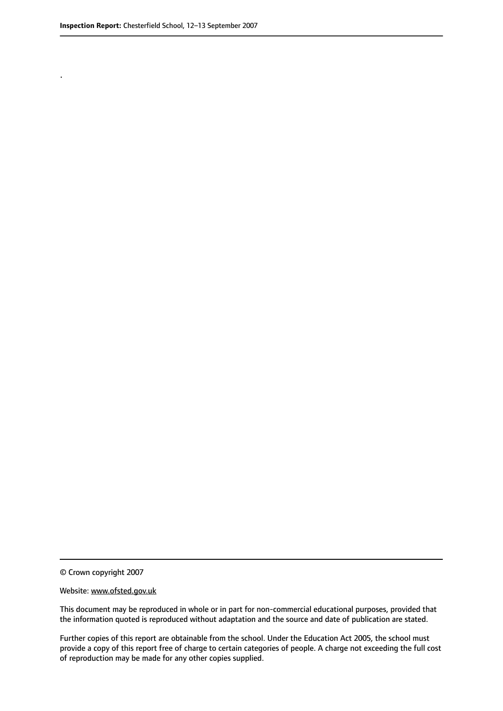.

This document may be reproduced in whole or in part for non-commercial educational purposes, provided that the information quoted is reproduced without adaptation and the source and date of publication are stated.

Further copies of this report are obtainable from the school. Under the Education Act 2005, the school must provide a copy of this report free of charge to certain categories of people. A charge not exceeding the full cost of reproduction may be made for any other copies supplied.

<sup>©</sup> Crown copyright 2007

Website: www.ofsted.gov.uk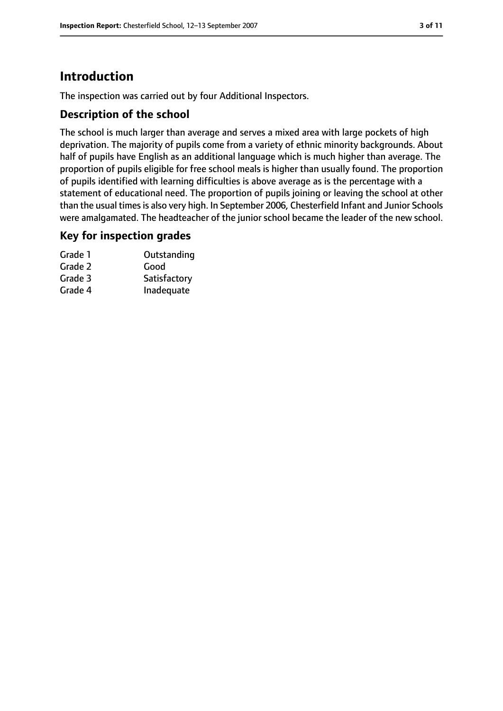# **Introduction**

The inspection was carried out by four Additional Inspectors.

#### **Description of the school**

The school is much larger than average and serves a mixed area with large pockets of high deprivation. The majority of pupils come from a variety of ethnic minority backgrounds. About half of pupils have English as an additional language which is much higher than average. The proportion of pupils eligible for free school meals is higher than usually found. The proportion of pupils identified with learning difficulties is above average as is the percentage with a statement of educational need. The proportion of pupils joining or leaving the school at other than the usual times is also very high. In September 2006, Chesterfield Infant and Junior Schools were amalgamated. The headteacher of the junior school became the leader of the new school.

#### **Key for inspection grades**

| Grade 1 | Outstanding  |
|---------|--------------|
| Grade 2 | Good         |
| Grade 3 | Satisfactory |
| Grade 4 | Inadequate   |
|         |              |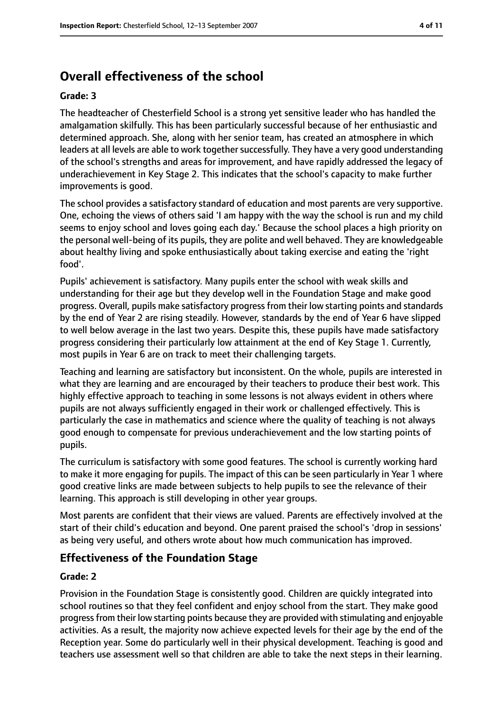# **Overall effectiveness of the school**

#### **Grade: 3**

The headteacher of Chesterfield School is a strong yet sensitive leader who has handled the amalgamation skilfully. This has been particularly successful because of her enthusiastic and determined approach. She, along with her senior team, has created an atmosphere in which leaders at all levels are able to work together successfully. They have a very good understanding of the school's strengths and areas for improvement, and have rapidly addressed the legacy of underachievement in Key Stage 2. This indicates that the school's capacity to make further improvements is good.

The school provides a satisfactory standard of education and most parents are very supportive. One, echoing the views of others said 'I am happy with the way the school is run and my child seems to enjoy school and loves going each day.' Because the school places a high priority on the personal well-being of its pupils, they are polite and well behaved. They are knowledgeable about healthy living and spoke enthusiastically about taking exercise and eating the 'right food'.

Pupils' achievement is satisfactory. Many pupils enter the school with weak skills and understanding for their age but they develop well in the Foundation Stage and make good progress. Overall, pupils make satisfactory progressfrom their low starting points and standards by the end of Year 2 are rising steadily. However, standards by the end of Year 6 have slipped to well below average in the last two years. Despite this, these pupils have made satisfactory progress considering their particularly low attainment at the end of Key Stage 1. Currently, most pupils in Year 6 are on track to meet their challenging targets.

Teaching and learning are satisfactory but inconsistent. On the whole, pupils are interested in what they are learning and are encouraged by their teachers to produce their best work. This highly effective approach to teaching in some lessons is not always evident in others where pupils are not always sufficiently engaged in their work or challenged effectively. This is particularly the case in mathematics and science where the quality of teaching is not always good enough to compensate for previous underachievement and the low starting points of pupils.

The curriculum is satisfactory with some good features. The school is currently working hard to make it more engaging for pupils. The impact of this can be seen particularly in Year 1 where good creative links are made between subjects to help pupils to see the relevance of their learning. This approach is still developing in other year groups.

Most parents are confident that their views are valued. Parents are effectively involved at the start of their child's education and beyond. One parent praised the school's 'drop in sessions' as being very useful, and others wrote about how much communication has improved.

#### **Effectiveness of the Foundation Stage**

#### **Grade: 2**

Provision in the Foundation Stage is consistently good. Children are quickly integrated into school routines so that they feel confident and enjoy school from the start. They make good progressfrom their low starting points because they are provided with stimulating and enjoyable activities. As a result, the majority now achieve expected levels for their age by the end of the Reception year. Some do particularly well in their physical development. Teaching is good and teachers use assessment well so that children are able to take the next steps in their learning.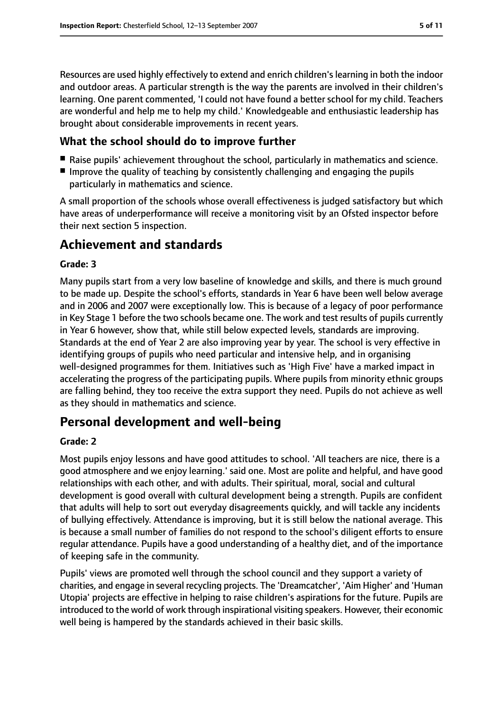Resources are used highly effectively to extend and enrich children's learning in both the indoor and outdoor areas. A particular strength is the way the parents are involved in their children's learning. One parent commented, 'I could not have found a better school for my child. Teachers are wonderful and help me to help my child.' Knowledgeable and enthusiastic leadership has brought about considerable improvements in recent years.

#### **What the school should do to improve further**

- Raise pupils' achievement throughout the school, particularly in mathematics and science.
- Improve the quality of teaching by consistently challenging and engaging the pupils particularly in mathematics and science.

A small proportion of the schools whose overall effectiveness is judged satisfactory but which have areas of underperformance will receive a monitoring visit by an Ofsted inspector before their next section 5 inspection.

## **Achievement and standards**

#### **Grade: 3**

Many pupils start from a very low baseline of knowledge and skills, and there is much ground to be made up. Despite the school's efforts, standards in Year 6 have been well below average and in 2006 and 2007 were exceptionally low. This is because of a legacy of poor performance in Key Stage 1 before the two schools became one. The work and test results of pupils currently in Year 6 however, show that, while still below expected levels, standards are improving. Standards at the end of Year 2 are also improving year by year. The school is very effective in identifying groups of pupils who need particular and intensive help, and in organising well-designed programmes for them. Initiatives such as 'High Five' have a marked impact in accelerating the progress of the participating pupils. Where pupils from minority ethnic groups are falling behind, they too receive the extra support they need. Pupils do not achieve as well as they should in mathematics and science.

### **Personal development and well-being**

#### **Grade: 2**

Most pupils enjoy lessons and have good attitudes to school. 'All teachers are nice, there is a good atmosphere and we enjoy learning.' said one. Most are polite and helpful, and have good relationships with each other, and with adults. Their spiritual, moral, social and cultural development is good overall with cultural development being a strength. Pupils are confident that adults will help to sort out everyday disagreements quickly, and will tackle any incidents of bullying effectively. Attendance is improving, but it is still below the national average. This is because a small number of families do not respond to the school's diligent efforts to ensure regular attendance. Pupils have a good understanding of a healthy diet, and of the importance of keeping safe in the community.

Pupils' views are promoted well through the school council and they support a variety of charities, and engage in several recycling projects. The 'Dreamcatcher', 'Aim Higher' and 'Human Utopia' projects are effective in helping to raise children's aspirations for the future. Pupils are introduced to the world of work through inspirational visiting speakers. However, their economic well being is hampered by the standards achieved in their basic skills.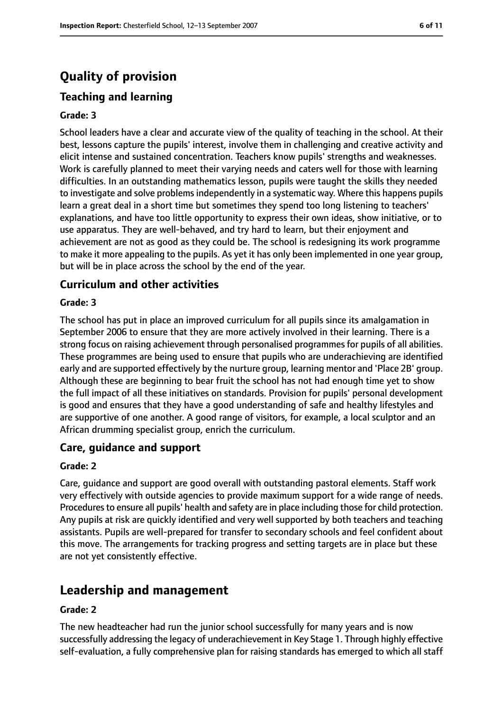# **Quality of provision**

# **Teaching and learning**

#### **Grade: 3**

School leaders have a clear and accurate view of the quality of teaching in the school. At their best, lessons capture the pupils' interest, involve them in challenging and creative activity and elicit intense and sustained concentration. Teachers know pupils' strengths and weaknesses. Work is carefully planned to meet their varying needs and caters well for those with learning difficulties. In an outstanding mathematics lesson, pupils were taught the skills they needed to investigate and solve problems independently in a systematic way. Where this happens pupils learn a great deal in a short time but sometimes they spend too long listening to teachers' explanations, and have too little opportunity to express their own ideas, show initiative, or to use apparatus. They are well-behaved, and try hard to learn, but their enjoyment and achievement are not as good as they could be. The school is redesigning its work programme to make it more appealing to the pupils. As yet it has only been implemented in one year group, but will be in place across the school by the end of the year.

#### **Curriculum and other activities**

#### **Grade: 3**

The school has put in place an improved curriculum for all pupils since its amalgamation in September 2006 to ensure that they are more actively involved in their learning. There is a strong focus on raising achievement through personalised programmes for pupils of all abilities. These programmes are being used to ensure that pupils who are underachieving are identified early and are supported effectively by the nurture group, learning mentor and 'Place 2B' group. Although these are beginning to bear fruit the school has not had enough time yet to show the full impact of all these initiatives on standards. Provision for pupils' personal development is good and ensures that they have a good understanding of safe and healthy lifestyles and are supportive of one another. A good range of visitors, for example, a local sculptor and an African drumming specialist group, enrich the curriculum.

#### **Care, guidance and support**

#### **Grade: 2**

Care, guidance and support are good overall with outstanding pastoral elements. Staff work very effectively with outside agencies to provide maximum support for a wide range of needs. Procedures to ensure all pupils' health and safety are in place including those for child protection. Any pupils at risk are quickly identified and very well supported by both teachers and teaching assistants. Pupils are well-prepared for transfer to secondary schools and feel confident about this move. The arrangements for tracking progress and setting targets are in place but these are not yet consistently effective.

### **Leadership and management**

#### **Grade: 2**

The new headteacher had run the junior school successfully for many years and is now successfully addressing the legacy of underachievement in Key Stage 1. Through highly effective self-evaluation, a fully comprehensive plan for raising standards has emerged to which all staff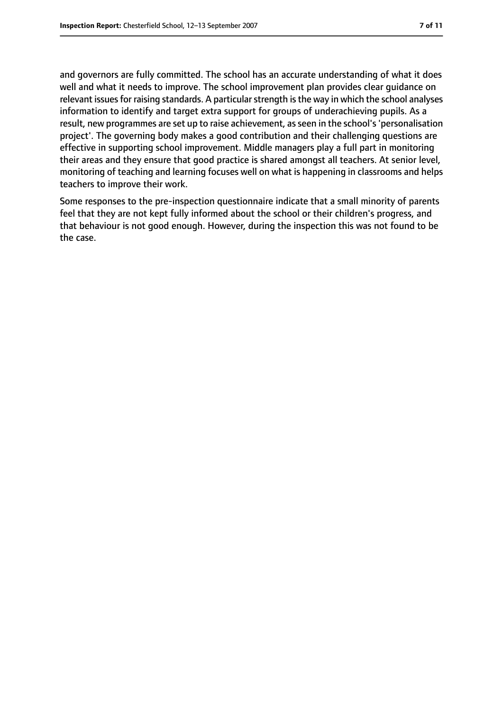and governors are fully committed. The school has an accurate understanding of what it does well and what it needs to improve. The school improvement plan provides clear guidance on relevant issues for raising standards. A particular strength is the way in which the school analyses information to identify and target extra support for groups of underachieving pupils. As a result, new programmes are set up to raise achievement, as seen in the school's 'personalisation project'. The governing body makes a good contribution and their challenging questions are effective in supporting school improvement. Middle managers play a full part in monitoring their areas and they ensure that good practice is shared amongst all teachers. At senior level, monitoring of teaching and learning focuses well on what is happening in classrooms and helps teachers to improve their work.

Some responses to the pre-inspection questionnaire indicate that a small minority of parents feel that they are not kept fully informed about the school or their children's progress, and that behaviour is not good enough. However, during the inspection this was not found to be the case.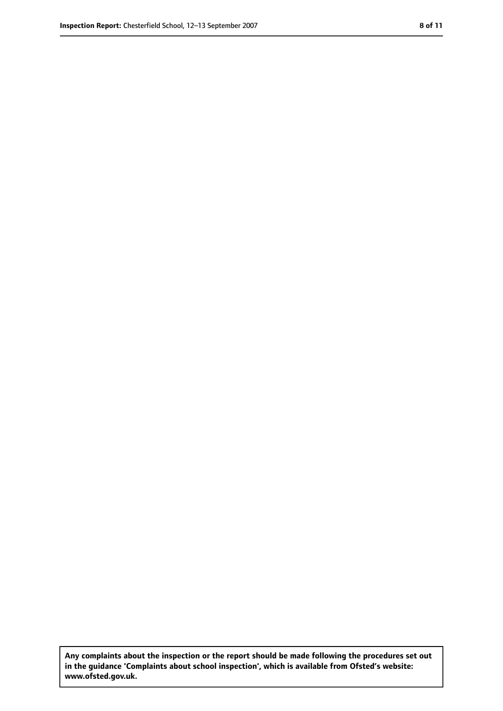**Any complaints about the inspection or the report should be made following the procedures set out in the guidance 'Complaints about school inspection', which is available from Ofsted's website: www.ofsted.gov.uk.**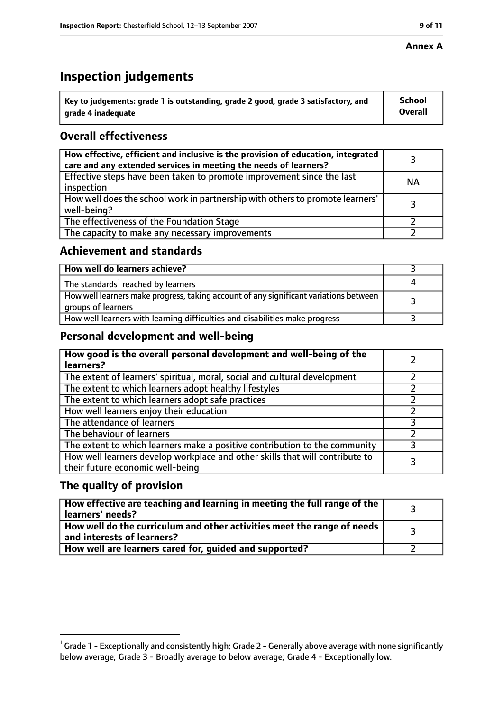#### **Annex A**

# **Inspection judgements**

| $^{\backprime}$ Key to judgements: grade 1 is outstanding, grade 2 good, grade 3 satisfactory, and | <b>School</b>  |
|----------------------------------------------------------------------------------------------------|----------------|
| arade 4 inadequate                                                                                 | <b>Overall</b> |

#### **Overall effectiveness**

| How effective, efficient and inclusive is the provision of education, integrated<br>care and any extended services in meeting the needs of learners? |           |
|------------------------------------------------------------------------------------------------------------------------------------------------------|-----------|
| Effective steps have been taken to promote improvement since the last<br>inspection                                                                  | <b>NA</b> |
| How well does the school work in partnership with others to promote learners'<br>well-being?                                                         |           |
| The effectiveness of the Foundation Stage                                                                                                            |           |
| The capacity to make any necessary improvements                                                                                                      |           |

#### **Achievement and standards**

| How well do learners achieve?                                                                               |  |
|-------------------------------------------------------------------------------------------------------------|--|
| The standards <sup>1</sup> reached by learners                                                              |  |
| How well learners make progress, taking account of any significant variations between<br>groups of learners |  |
| How well learners with learning difficulties and disabilities make progress                                 |  |

#### **Personal development and well-being**

| How good is the overall personal development and well-being of the<br>learners?                                  |  |
|------------------------------------------------------------------------------------------------------------------|--|
| The extent of learners' spiritual, moral, social and cultural development                                        |  |
| The extent to which learners adopt healthy lifestyles                                                            |  |
| The extent to which learners adopt safe practices                                                                |  |
| How well learners enjoy their education                                                                          |  |
| The attendance of learners                                                                                       |  |
| The behaviour of learners                                                                                        |  |
| The extent to which learners make a positive contribution to the community                                       |  |
| How well learners develop workplace and other skills that will contribute to<br>their future economic well-being |  |

#### **The quality of provision**

| How effective are teaching and learning in meeting the full range of the<br>learners' needs?          |  |
|-------------------------------------------------------------------------------------------------------|--|
| How well do the curriculum and other activities meet the range of needs<br>and interests of learners? |  |
| How well are learners cared for, guided and supported?                                                |  |

 $^1$  Grade 1 - Exceptionally and consistently high; Grade 2 - Generally above average with none significantly below average; Grade 3 - Broadly average to below average; Grade 4 - Exceptionally low.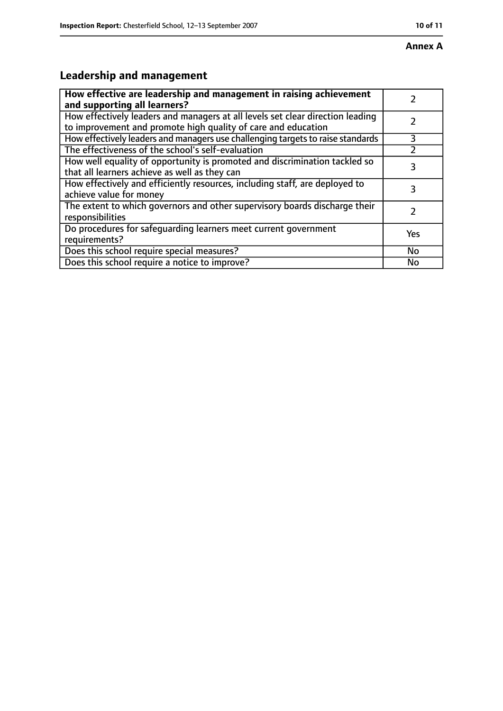#### **Annex A**

# **Leadership and management**

| How effective are leadership and management in raising achievement<br>and supporting all learners?                                              |     |
|-------------------------------------------------------------------------------------------------------------------------------------------------|-----|
| How effectively leaders and managers at all levels set clear direction leading<br>to improvement and promote high quality of care and education |     |
| How effectively leaders and managers use challenging targets to raise standards                                                                 | 3   |
| The effectiveness of the school's self-evaluation                                                                                               |     |
| How well equality of opportunity is promoted and discrimination tackled so<br>that all learners achieve as well as they can                     | 3   |
| How effectively and efficiently resources, including staff, are deployed to<br>achieve value for money                                          | З   |
| The extent to which governors and other supervisory boards discharge their<br>responsibilities                                                  |     |
| Do procedures for safequarding learners meet current government<br>requirements?                                                                | Yes |
| Does this school require special measures?                                                                                                      | No  |
| Does this school require a notice to improve?                                                                                                   | No  |